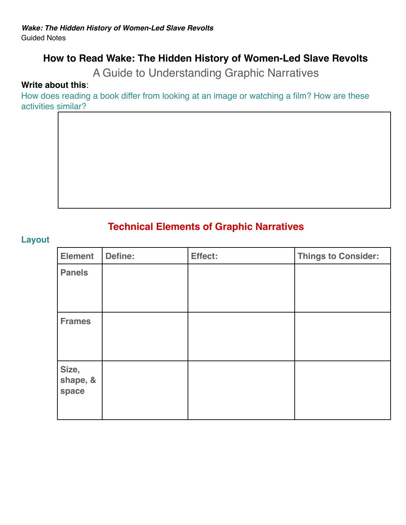# **How to Read Wake: The Hidden History of Women-Led Slave Revolts**

A Guide to Understanding Graphic Narratives

#### **Write about this**:

How does reading a book differ from looking at an image or watching a film? How are these activities similar?

## **Technical Elements of Graphic Narratives**

#### **Layout**

| <b>Element</b>             | <b>Define:</b> | Effect: | <b>Things to Consider:</b> |
|----------------------------|----------------|---------|----------------------------|
| <b>Panels</b>              |                |         |                            |
| <b>Frames</b>              |                |         |                            |
| Size,<br>shape, &<br>space |                |         |                            |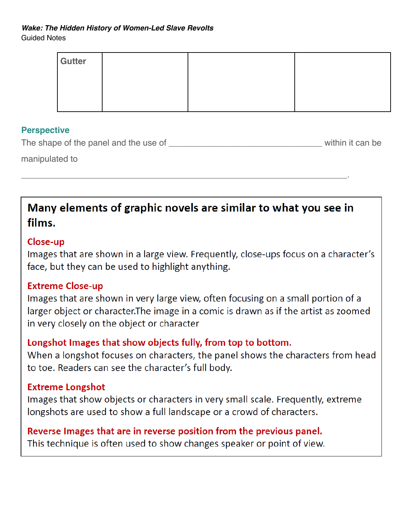# *Wake: The Hidden History of Women-Led Slave Revolts*

Guided Notes

| Gutter |  |  |
|--------|--|--|
|        |  |  |
|        |  |  |
|        |  |  |

### **Perspective**

The shape of the panel and the use of **EXACTE EXACTE SHOW** within it can be

manipulated to

# Many elements of graphic novels are similar to what you see in films.

\_\_\_\_\_\_\_\_\_\_\_\_\_\_\_\_\_\_\_\_\_\_\_\_\_\_\_\_\_\_\_\_\_\_\_\_\_\_\_\_\_\_\_\_\_\_\_\_\_\_\_\_\_\_\_\_\_\_\_\_\_\_\_\_\_\_\_\_.

### Close-up

Images that are shown in a large view. Frequently, close-ups focus on a character's face, but they can be used to highlight anything.

## **Extreme Close-up**

Images that are shown in very large view, often focusing on a small portion of a larger object or character. The image in a comic is drawn as if the artist as zoomed in very closely on the object or character

# Longshot Images that show objects fully, from top to bottom.

When a longshot focuses on characters, the panel shows the characters from head to toe. Readers can see the character's full body.

## **Extreme Longshot**

Images that show objects or characters in very small scale. Frequently, extreme longshots are used to show a full landscape or a crowd of characters.

### Reverse Images that are in reverse position from the previous panel. This technique is often used to show changes speaker or point of view.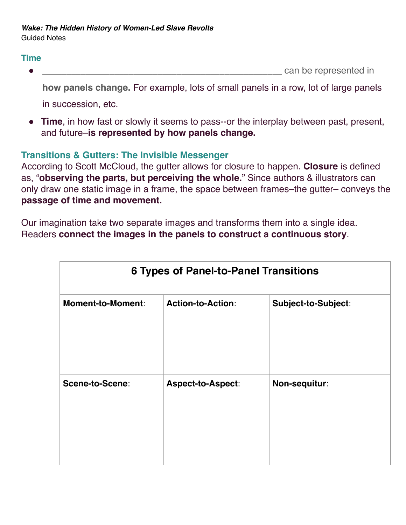#### **Time**

can be represented in

**how panels change.** For example, lots of small panels in a row, lot of large panels in succession, etc.

● **Time**, in how fast or slowly it seems to pass--or the interplay between past, present, and future–**is represented by how panels change.**

### **Transitions & Gutters: The Invisible Messenger**

According to Scott McCloud, the gutter allows for closure to happen. **Closure** is defined as, "**observing the parts, but perceiving the whole.**" Since authors & illustrators can only draw one static image in a frame, the space between frames–the gutter– conveys the **passage of time and movement.** 

Our imagination take two separate images and transforms them into a single idea. Readers **connect the images in the panels to construct a continuous story**.

| <b>6 Types of Panel-to-Panel Transitions</b> |                          |                     |  |  |  |
|----------------------------------------------|--------------------------|---------------------|--|--|--|
| <b>Moment-to-Moment:</b>                     | <b>Action-to-Action:</b> | Subject-to-Subject: |  |  |  |
| Scene-to-Scene:                              | <b>Aspect-to-Aspect:</b> | Non-sequitur:       |  |  |  |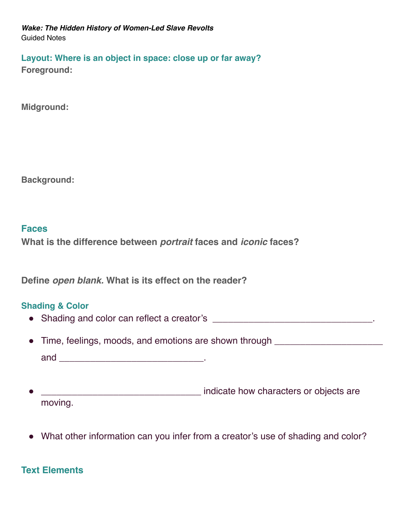**Layout: Where is an object in space: close up or far away? Foreground:**

**Midground:**

**Background:** 

#### **Faces**

**What is the difference between** *portrait* **faces and** *iconic* **faces?** 

**Define** *open blank.* **What is its effect on the reader?**

#### **Shading & Color**

- Shading and color can reflect a creator's \_\_\_\_\_\_\_\_\_\_\_\_\_\_\_\_\_\_\_\_\_\_\_\_\_\_\_\_\_\_\_\_.
- Time, feelings, moods, and emotions are shown through **with the same of the system** and  $\qquad \qquad \qquad \qquad \qquad$
- expressed a property indicate how characters or objects are moving.
- What other information can you infer from a creator's use of shading and color?

### **Text Elements**